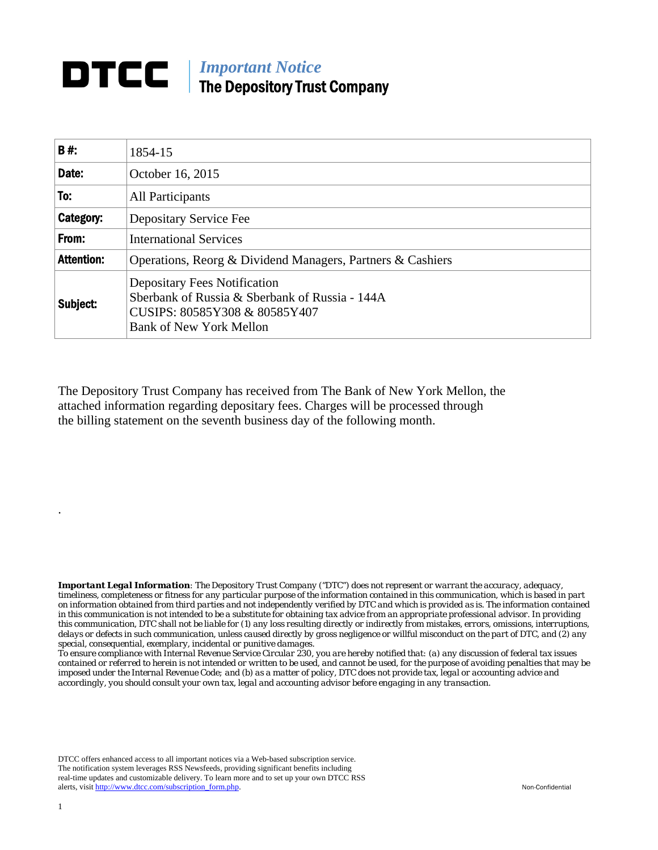## **DTCC** | *Important Notice* The Depository Trust Company

| B#:               | 1854-15                                                                                                                                                  |  |
|-------------------|----------------------------------------------------------------------------------------------------------------------------------------------------------|--|
| Date:             | October 16, 2015                                                                                                                                         |  |
| To:               | All Participants                                                                                                                                         |  |
| Category:         | Depositary Service Fee                                                                                                                                   |  |
| From:             | <b>International Services</b>                                                                                                                            |  |
| <b>Attention:</b> | Operations, Reorg & Dividend Managers, Partners & Cashiers                                                                                               |  |
| Subject:          | <b>Depositary Fees Notification</b><br>Sberbank of Russia & Sberbank of Russia - 144A<br>CUSIPS: 80585Y308 & 80585Y407<br><b>Bank of New York Mellon</b> |  |

The Depository Trust Company has received from The Bank of New York Mellon, the attached information regarding depositary fees. Charges will be processed through the billing statement on the seventh business day of the following month.

*Important Legal Information: The Depository Trust Company ("DTC") does not represent or warrant the accuracy, adequacy, timeliness, completeness or fitness for any particular purpose of the information contained in this communication, which is based in part on information obtained from third parties and not independently verified by DTC and which is provided as is. The information contained in this communication is not intended to be a substitute for obtaining tax advice from an appropriate professional advisor. In providing this communication, DTC shall not be liable for (1) any loss resulting directly or indirectly from mistakes, errors, omissions, interruptions, delays or defects in such communication, unless caused directly by gross negligence or willful misconduct on the part of DTC, and (2) any special, consequential, exemplary, incidental or punitive damages.* 

*To ensure compliance with Internal Revenue Service Circular 230, you are hereby notified that: (a) any discussion of federal tax issues contained or referred to herein is not intended or written to be used, and cannot be used, for the purpose of avoiding penalties that may be imposed under the Internal Revenue Code; and (b) as a matter of policy, DTC does not provide tax, legal or accounting advice and accordingly, you should consult your own tax, legal and accounting advisor before engaging in any transaction.*

DTCC offers enhanced access to all important notices via a Web-based subscription service. The notification system leverages RSS Newsfeeds, providing significant benefits including real-time updates and customizable delivery. To learn more and to set up your own DTCC RSS alerts, visit http://www.dtcc.com/subscription\_form.php. Non-Confidential

.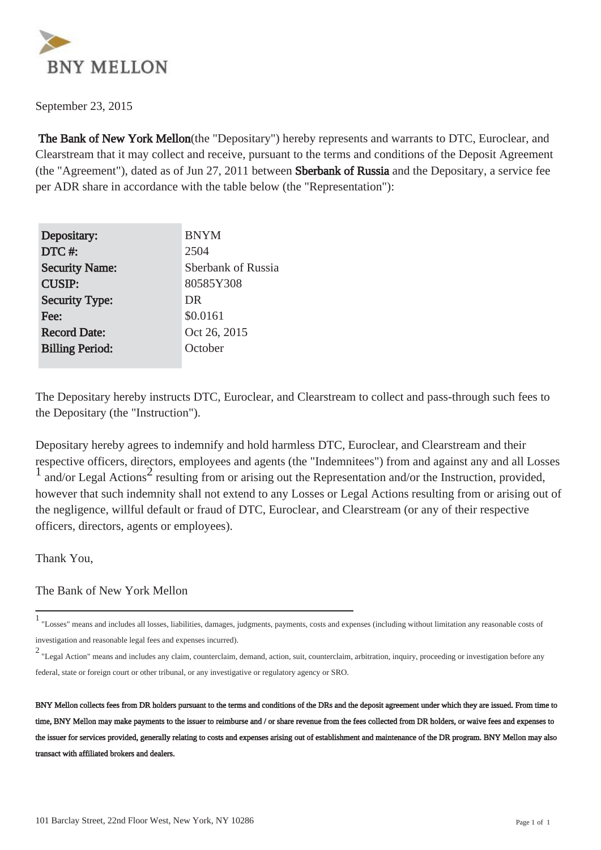

September 23, 2015

 The Bank of New York Mellon(the "Depositary") hereby represents and warrants to DTC, Euroclear, and Clearstream that it may collect and receive, pursuant to the terms and conditions of the Deposit Agreement (the "Agreement"), dated as of Jun 27, 2011 between Sberbank of Russia and the Depositary, a service fee per ADR share in accordance with the table below (the "Representation"):

| Depositary:            | <b>BNYM</b>        |
|------------------------|--------------------|
| DTC#:                  | 2504               |
| <b>Security Name:</b>  | Sberbank of Russia |
| <b>CUSIP:</b>          | 80585Y308          |
| <b>Security Type:</b>  | DR                 |
| Fee:                   | \$0.0161           |
| <b>Record Date:</b>    | Oct 26, 2015       |
| <b>Billing Period:</b> | October            |
|                        |                    |

The Depositary hereby instructs DTC, Euroclear, and Clearstream to collect and pass-through such fees to the Depositary (the "Instruction").

Depositary hereby agrees to indemnify and hold harmless DTC, Euroclear, and Clearstream and their respective officers, directors, employees and agents (the "Indemnitees") from and against any and all Losses 1 and/or Legal Actions<sup>2</sup> resulting from or arising out the Representation and/or the Instruction, provided, however that such indemnity shall not extend to any Losses or Legal Actions resulting from or arising out of the negligence, willful default or fraud of DTC, Euroclear, and Clearstream (or any of their respective officers, directors, agents or employees).

Thank You,

The Bank of New York Mellon

<sup>1</sup> "Losses" means and includes all losses, liabilities, damages, judgments, payments, costs and expenses (including without limitation any reasonable costs of investigation and reasonable legal fees and expenses incurred).

<sup>2</sup> "Legal Action" means and includes any claim, counterclaim, demand, action, suit, counterclaim, arbitration, inquiry, proceeding or investigation before any federal, state or foreign court or other tribunal, or any investigative or regulatory agency or SRO.

BNY Mellon collects fees from DR holders pursuant to the terms and conditions of the DRs and the deposit agreement under which they are issued. From time to time, BNY Mellon may make payments to the issuer to reimburse and / or share revenue from the fees collected from DR holders, or waive fees and expenses to the issuer for services provided, generally relating to costs and expenses arising out of establishment and maintenance of the DR program. BNY Mellon may also transact with affiliated brokers and dealers.